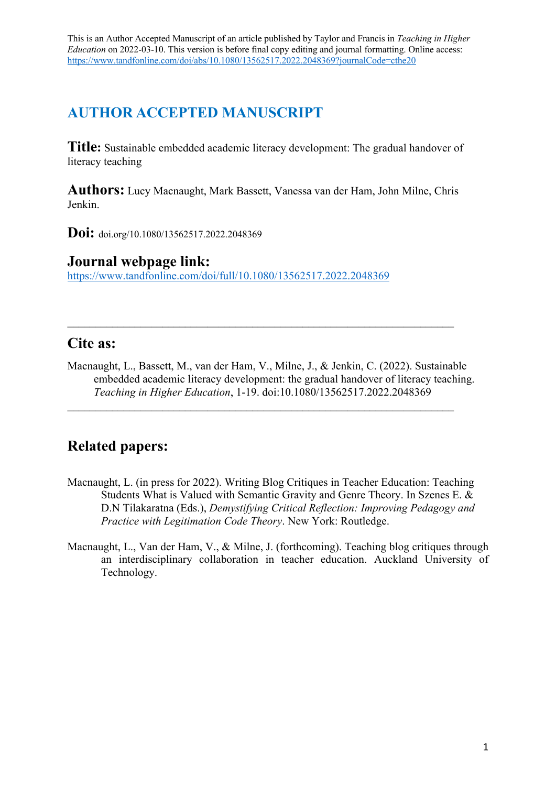# **AUTHOR ACCEPTED MANUSCRIPT**

**Title:** Sustainable embedded academic literacy development: The gradual handover of literacy teaching

**Authors:** Lucy Macnaught, Mark Bassett, Vanessa van der Ham, John Milne, Chris Jenkin.

**Doi:** doi.org/10.1080/13562517.2022.2048369

# **Journal webpage link:**

https://www.tandfonline.com/doi/full/10.1080/13562517.2022.2048369

# **Cite as:**

Macnaught, L., Bassett, M., van der Ham, V., Milne, J., & Jenkin, C. (2022). Sustainable embedded academic literacy development: the gradual handover of literacy teaching. *Teaching in Higher Education*, 1-19. doi:10.1080/13562517.2022.2048369

# **Related papers:**

- Macnaught, L. (in press for 2022). Writing Blog Critiques in Teacher Education: Teaching Students What is Valued with Semantic Gravity and Genre Theory. In Szenes E. & D.N Tilakaratna (Eds.), *Demystifying Critical Reflection: Improving Pedagogy and Practice with Legitimation Code Theory*. New York: Routledge.
- Macnaught, L., Van der Ham, V., & Milne, J. (forthcoming). Teaching blog critiques through an interdisciplinary collaboration in teacher education. Auckland University of Technology.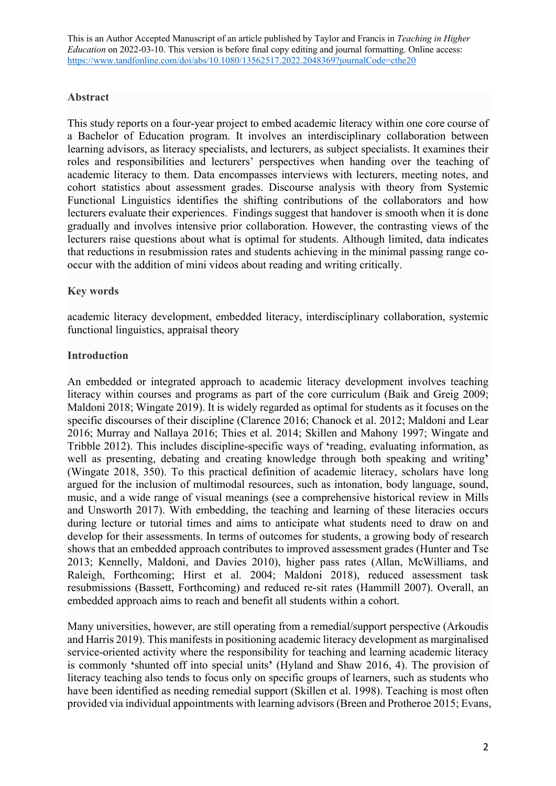## **Abstract**

This study reports on a four-year project to embed academic literacy within one core course of a Bachelor of Education program. It involves an interdisciplinary collaboration between learning advisors, as literacy specialists, and lecturers, as subject specialists. It examines their roles and responsibilities and lecturers' perspectives when handing over the teaching of academic literacy to them. Data encompasses interviews with lecturers, meeting notes, and cohort statistics about assessment grades. Discourse analysis with theory from Systemic Functional Linguistics identifies the shifting contributions of the collaborators and how lecturers evaluate their experiences. Findings suggest that handover is smooth when it is done gradually and involves intensive prior collaboration. However, the contrasting views of the lecturers raise questions about what is optimal for students. Although limited, data indicates that reductions in resubmission rates and students achieving in the minimal passing range cooccur with the addition of mini videos about reading and writing critically.

# **Key words**

academic literacy development, embedded literacy, interdisciplinary collaboration, systemic functional linguistics, appraisal theory

# **Introduction**

An embedded or integrated approach to academic literacy development involves teaching literacy within courses and programs as part of the core curriculum (Baik and Greig 2009; Maldoni 2018; Wingate 2019). It is widely regarded as optimal for students as it focuses on the specific discourses of their discipline (Clarence 2016; Chanock et al. 2012; Maldoni and Lear 2016; Murray and Nallaya 2016; Thies et al. 2014; Skillen and Mahony 1997; Wingate and Tribble 2012). This includes discipline-specific ways of **'**reading, evaluating information, as well as presenting, debating and creating knowledge through both speaking and writing**'** (Wingate 2018, 350). To this practical definition of academic literacy, scholars have long argued for the inclusion of multimodal resources, such as intonation, body language, sound, music, and a wide range of visual meanings (see a comprehensive historical review in Mills and Unsworth 2017). With embedding, the teaching and learning of these literacies occurs during lecture or tutorial times and aims to anticipate what students need to draw on and develop for their assessments. In terms of outcomes for students, a growing body of research shows that an embedded approach contributes to improved assessment grades (Hunter and Tse 2013; Kennelly, Maldoni, and Davies 2010), higher pass rates (Allan, McWilliams, and Raleigh, Forthcoming; Hirst et al. 2004; Maldoni 2018), reduced assessment task resubmissions (Bassett, Forthcoming) and reduced re-sit rates (Hammill 2007). Overall, an embedded approach aims to reach and benefit all students within a cohort.

Many universities, however, are still operating from a remedial/support perspective (Arkoudis and Harris 2019). This manifests in positioning academic literacy development as marginalised service-oriented activity where the responsibility for teaching and learning academic literacy is commonly **'**shunted off into special units**'** (Hyland and Shaw 2016, 4). The provision of literacy teaching also tends to focus only on specific groups of learners, such as students who have been identified as needing remedial support (Skillen et al. 1998). Teaching is most often provided via individual appointments with learning advisors (Breen and Protheroe 2015; Evans,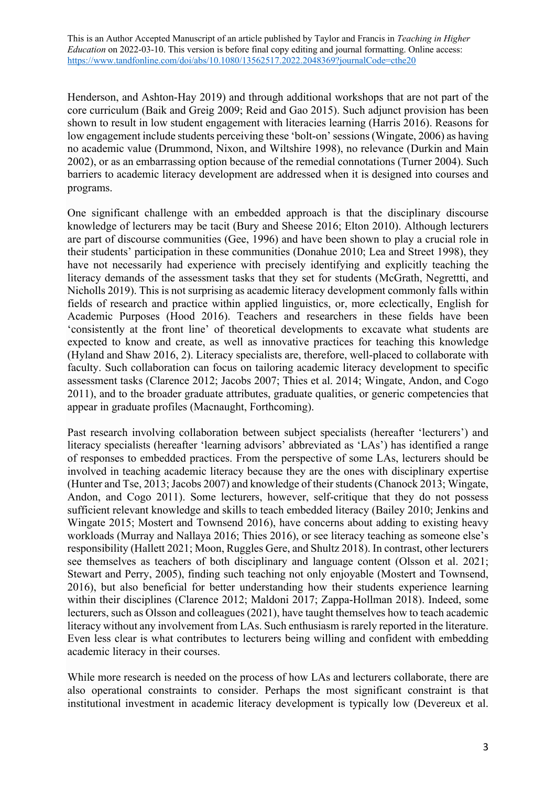Henderson, and Ashton-Hay 2019) and through additional workshops that are not part of the core curriculum (Baik and Greig 2009; Reid and Gao 2015). Such adjunct provision has been shown to result in low student engagement with literacies learning (Harris 2016). Reasons for low engagement include students perceiving these 'bolt-on' sessions(Wingate, 2006) as having no academic value (Drummond, Nixon, and Wiltshire 1998), no relevance (Durkin and Main 2002), or as an embarrassing option because of the remedial connotations (Turner 2004). Such barriers to academic literacy development are addressed when it is designed into courses and programs.

One significant challenge with an embedded approach is that the disciplinary discourse knowledge of lecturers may be tacit (Bury and Sheese 2016; Elton 2010). Although lecturers are part of discourse communities (Gee, 1996) and have been shown to play a crucial role in their students' participation in these communities (Donahue 2010; Lea and Street 1998), they have not necessarily had experience with precisely identifying and explicitly teaching the literacy demands of the assessment tasks that they set for students (McGrath, Negrettti, and Nicholls 2019). This is not surprising as academic literacy development commonly falls within fields of research and practice within applied linguistics, or, more eclectically, English for Academic Purposes (Hood 2016). Teachers and researchers in these fields have been 'consistently at the front line' of theoretical developments to excavate what students are expected to know and create, as well as innovative practices for teaching this knowledge (Hyland and Shaw 2016, 2). Literacy specialists are, therefore, well-placed to collaborate with faculty. Such collaboration can focus on tailoring academic literacy development to specific assessment tasks (Clarence 2012; Jacobs 2007; Thies et al. 2014; Wingate, Andon, and Cogo 2011), and to the broader graduate attributes, graduate qualities, or generic competencies that appear in graduate profiles (Macnaught, Forthcoming).

Past research involving collaboration between subject specialists (hereafter 'lecturers') and literacy specialists (hereafter 'learning advisors' abbreviated as 'LAs') has identified a range of responses to embedded practices. From the perspective of some LAs, lecturers should be involved in teaching academic literacy because they are the ones with disciplinary expertise (Hunter and Tse, 2013; Jacobs 2007) and knowledge of theirstudents(Chanock 2013; Wingate, Andon, and Cogo 2011). Some lecturers, however, self-critique that they do not possess sufficient relevant knowledge and skills to teach embedded literacy (Bailey 2010; Jenkins and Wingate 2015; Mostert and Townsend 2016), have concerns about adding to existing heavy workloads (Murray and Nallaya 2016; Thies 2016), or see literacy teaching as someone else's responsibility (Hallett 2021; Moon, Ruggles Gere, and Shultz 2018). In contrast, other lecturers see themselves as teachers of both disciplinary and language content (Olsson et al. 2021; Stewart and Perry, 2005), finding such teaching not only enjoyable (Mostert and Townsend, 2016), but also beneficial for better understanding how their students experience learning within their disciplines (Clarence 2012; Maldoni 2017; Zappa-Hollman 2018). Indeed, some lecturers, such as Olsson and colleagues (2021), have taught themselves how to teach academic literacy without any involvement from LAs. Such enthusiasm is rarely reported in the literature. Even less clear is what contributes to lecturers being willing and confident with embedding academic literacy in their courses.

While more research is needed on the process of how LAs and lecturers collaborate, there are also operational constraints to consider. Perhaps the most significant constraint is that institutional investment in academic literacy development is typically low (Devereux et al.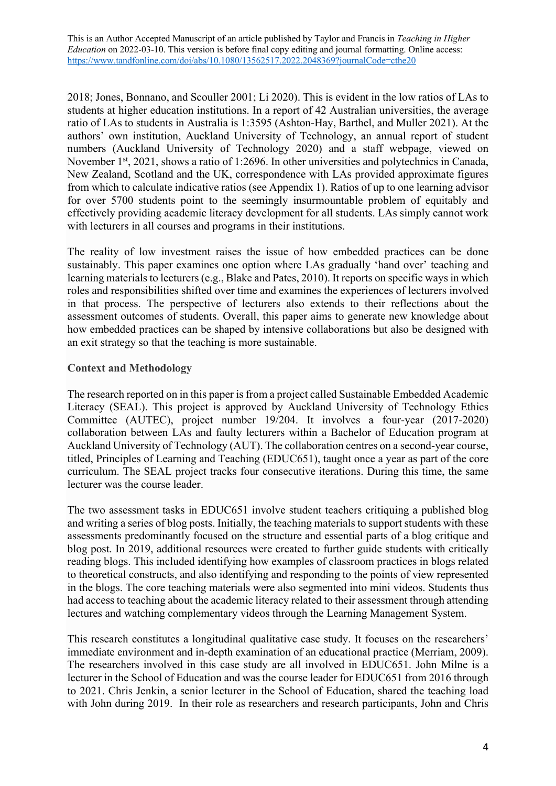2018; Jones, Bonnano, and Scouller 2001; Li 2020). This is evident in the low ratios of LAs to students at higher education institutions. In a report of 42 Australian universities, the average ratio of LAs to students in Australia is 1:3595 (Ashton-Hay, Barthel, and Muller 2021). At the authors' own institution, Auckland University of Technology, an annual report of student numbers (Auckland University of Technology 2020) and a staff webpage, viewed on November 1<sup>st</sup>, 2021, shows a ratio of 1:2696. In other universities and polytechnics in Canada, New Zealand, Scotland and the UK, correspondence with LAs provided approximate figures from which to calculate indicative ratios (see Appendix 1). Ratios of up to one learning advisor for over 5700 students point to the seemingly insurmountable problem of equitably and effectively providing academic literacy development for all students. LAs simply cannot work with lecturers in all courses and programs in their institutions.

The reality of low investment raises the issue of how embedded practices can be done sustainably. This paper examines one option where LAs gradually 'hand over' teaching and learning materials to lecturers (e.g., Blake and Pates, 2010). It reports on specific ways in which roles and responsibilities shifted over time and examines the experiences of lecturers involved in that process. The perspective of lecturers also extends to their reflections about the assessment outcomes of students. Overall, this paper aims to generate new knowledge about how embedded practices can be shaped by intensive collaborations but also be designed with an exit strategy so that the teaching is more sustainable.

# **Context and Methodology**

The research reported on in this paper is from a project called Sustainable Embedded Academic Literacy (SEAL). This project is approved by Auckland University of Technology Ethics Committee (AUTEC), project number 19/204. It involves a four-year (2017-2020) collaboration between LAs and faulty lecturers within a Bachelor of Education program at Auckland University of Technology (AUT). The collaboration centres on a second-year course, titled, Principles of Learning and Teaching (EDUC651), taught once a year as part of the core curriculum. The SEAL project tracks four consecutive iterations. During this time, the same lecturer was the course leader.

The two assessment tasks in EDUC651 involve student teachers critiquing a published blog and writing a series of blog posts. Initially, the teaching materials to support students with these assessments predominantly focused on the structure and essential parts of a blog critique and blog post. In 2019, additional resources were created to further guide students with critically reading blogs. This included identifying how examples of classroom practices in blogs related to theoretical constructs, and also identifying and responding to the points of view represented in the blogs. The core teaching materials were also segmented into mini videos. Students thus had access to teaching about the academic literacy related to their assessment through attending lectures and watching complementary videos through the Learning Management System.

This research constitutes a longitudinal qualitative case study. It focuses on the researchers' immediate environment and in-depth examination of an educational practice (Merriam, 2009). The researchers involved in this case study are all involved in EDUC651. John Milne is a lecturer in the School of Education and was the course leader for EDUC651 from 2016 through to 2021. Chris Jenkin, a senior lecturer in the School of Education, shared the teaching load with John during 2019. In their role as researchers and research participants, John and Chris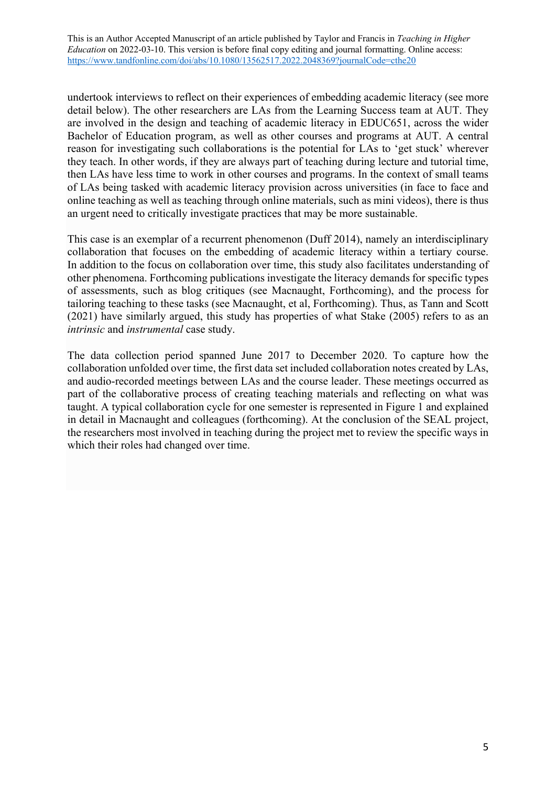undertook interviews to reflect on their experiences of embedding academic literacy (see more detail below). The other researchers are LAs from the Learning Success team at AUT. They are involved in the design and teaching of academic literacy in EDUC651, across the wider Bachelor of Education program, as well as other courses and programs at AUT. A central reason for investigating such collaborations is the potential for LAs to 'get stuck' wherever they teach. In other words, if they are always part of teaching during lecture and tutorial time, then LAs have less time to work in other courses and programs. In the context of small teams of LAs being tasked with academic literacy provision across universities (in face to face and online teaching as well as teaching through online materials, such as mini videos), there is thus an urgent need to critically investigate practices that may be more sustainable.

This case is an exemplar of a recurrent phenomenon (Duff 2014), namely an interdisciplinary collaboration that focuses on the embedding of academic literacy within a tertiary course. In addition to the focus on collaboration over time, this study also facilitates understanding of other phenomena. Forthcoming publications investigate the literacy demands for specific types of assessments, such as blog critiques (see Macnaught, Forthcoming), and the process for tailoring teaching to these tasks (see Macnaught, et al, Forthcoming). Thus, as Tann and Scott (2021) have similarly argued, this study has properties of what Stake (2005) refers to as an *intrinsic* and *instrumental* case study.

The data collection period spanned June 2017 to December 2020. To capture how the collaboration unfolded over time, the first data set included collaboration notes created by LAs, and audio-recorded meetings between LAs and the course leader. These meetings occurred as part of the collaborative process of creating teaching materials and reflecting on what was taught. A typical collaboration cycle for one semester is represented in Figure 1 and explained in detail in Macnaught and colleagues (forthcoming). At the conclusion of the SEAL project, the researchers most involved in teaching during the project met to review the specific ways in which their roles had changed over time.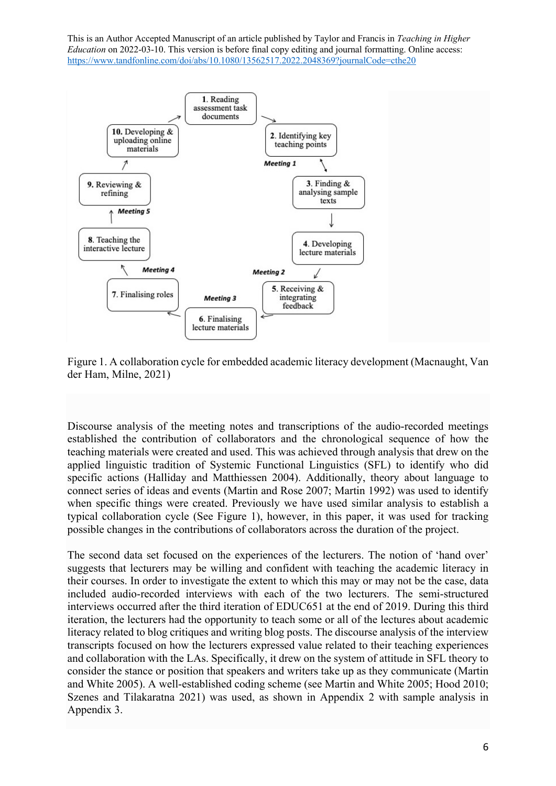

Figure 1. A collaboration cycle for embedded academic literacy development (Macnaught, Van der Ham, Milne, 2021)

Discourse analysis of the meeting notes and transcriptions of the audio-recorded meetings established the contribution of collaborators and the chronological sequence of how the teaching materials were created and used. This was achieved through analysis that drew on the applied linguistic tradition of Systemic Functional Linguistics (SFL) to identify who did specific actions (Halliday and Matthiessen 2004). Additionally, theory about language to connect series of ideas and events (Martin and Rose 2007; Martin 1992) was used to identify when specific things were created. Previously we have used similar analysis to establish a typical collaboration cycle (See Figure 1), however, in this paper, it was used for tracking possible changes in the contributions of collaborators across the duration of the project.

The second data set focused on the experiences of the lecturers. The notion of 'hand over' suggests that lecturers may be willing and confident with teaching the academic literacy in their courses. In order to investigate the extent to which this may or may not be the case, data included audio-recorded interviews with each of the two lecturers. The semi-structured interviews occurred after the third iteration of EDUC651 at the end of 2019. During this third iteration, the lecturers had the opportunity to teach some or all of the lectures about academic literacy related to blog critiques and writing blog posts. The discourse analysis of the interview transcripts focused on how the lecturers expressed value related to their teaching experiences and collaboration with the LAs. Specifically, it drew on the system of attitude in SFL theory to consider the stance or position that speakers and writers take up as they communicate (Martin and White 2005). A well-established coding scheme (see Martin and White 2005; Hood 2010; Szenes and Tilakaratna 2021) was used, as shown in Appendix 2 with sample analysis in Appendix 3.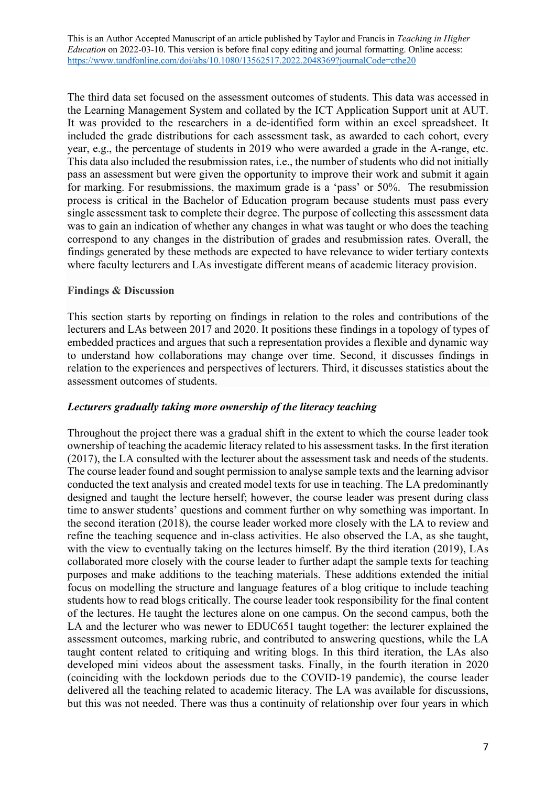The third data set focused on the assessment outcomes of students. This data was accessed in the Learning Management System and collated by the ICT Application Support unit at AUT. It was provided to the researchers in a de-identified form within an excel spreadsheet. It included the grade distributions for each assessment task, as awarded to each cohort, every year, e.g., the percentage of students in 2019 who were awarded a grade in the A-range, etc. This data also included the resubmission rates, i.e., the number of students who did not initially pass an assessment but were given the opportunity to improve their work and submit it again for marking. For resubmissions, the maximum grade is a 'pass' or 50%. The resubmission process is critical in the Bachelor of Education program because students must pass every single assessment task to complete their degree. The purpose of collecting this assessment data was to gain an indication of whether any changes in what was taught or who does the teaching correspond to any changes in the distribution of grades and resubmission rates. Overall, the findings generated by these methods are expected to have relevance to wider tertiary contexts where faculty lecturers and LAs investigate different means of academic literacy provision.

## **Findings & Discussion**

This section starts by reporting on findings in relation to the roles and contributions of the lecturers and LAs between 2017 and 2020. It positions these findings in a topology of types of embedded practices and argues that such a representation provides a flexible and dynamic way to understand how collaborations may change over time. Second, it discusses findings in relation to the experiences and perspectives of lecturers. Third, it discusses statistics about the assessment outcomes of students.

#### *Lecturers gradually taking more ownership of the literacy teaching*

Throughout the project there was a gradual shift in the extent to which the course leader took ownership of teaching the academic literacy related to his assessment tasks. In the first iteration (2017), the LA consulted with the lecturer about the assessment task and needs of the students. The course leader found and sought permission to analyse sample texts and the learning advisor conducted the text analysis and created model texts for use in teaching. The LA predominantly designed and taught the lecture herself; however, the course leader was present during class time to answer students' questions and comment further on why something was important. In the second iteration (2018), the course leader worked more closely with the LA to review and refine the teaching sequence and in-class activities. He also observed the LA, as she taught, with the view to eventually taking on the lectures himself. By the third iteration (2019), LAs collaborated more closely with the course leader to further adapt the sample texts for teaching purposes and make additions to the teaching materials. These additions extended the initial focus on modelling the structure and language features of a blog critique to include teaching students how to read blogs critically. The course leader took responsibility for the final content of the lectures. He taught the lectures alone on one campus. On the second campus, both the LA and the lecturer who was newer to EDUC651 taught together: the lecturer explained the assessment outcomes, marking rubric, and contributed to answering questions, while the LA taught content related to critiquing and writing blogs. In this third iteration, the LAs also developed mini videos about the assessment tasks. Finally, in the fourth iteration in 2020 (coinciding with the lockdown periods due to the COVID-19 pandemic), the course leader delivered all the teaching related to academic literacy. The LA was available for discussions, but this was not needed. There was thus a continuity of relationship over four years in which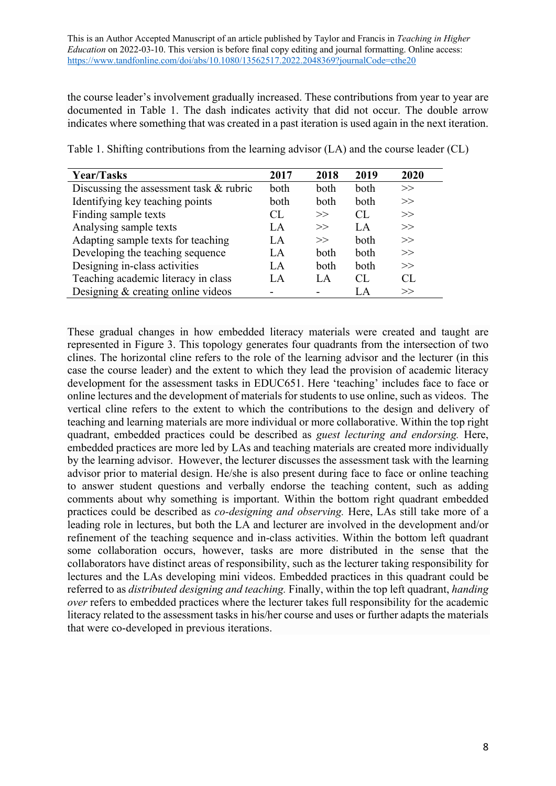the course leader's involvement gradually increased. These contributions from year to year are documented in Table 1. The dash indicates activity that did not occur. The double arrow indicates where something that was created in a past iteration is used again in the next iteration.

| Year/Tasks                              | 2017 | 2018 | 2019 | 2020 |
|-----------------------------------------|------|------|------|------|
| Discussing the assessment task & rubric | both | both | both | >>   |
| Identifying key teaching points         | both | both | both | >>   |
| Finding sample texts                    | CL   | >>   | CL.  | >>   |
| Analysing sample texts                  | LA   | >>   | LA   | >>   |
| Adapting sample texts for teaching      | LA.  | >>   | both | >>   |
| Developing the teaching sequence        | LA   | both | both | >>   |
| Designing in-class activities           | LA.  | both | both | >>   |
| Teaching academic literacy in class     | LA   | LA   | CL   | CL.  |
| Designing & creating online videos      |      |      | LA   | >>   |

Table 1. Shifting contributions from the learning advisor (LA) and the course leader (CL)

These gradual changes in how embedded literacy materials were created and taught are represented in Figure 3. This topology generates four quadrants from the intersection of two clines. The horizontal cline refers to the role of the learning advisor and the lecturer (in this case the course leader) and the extent to which they lead the provision of academic literacy development for the assessment tasks in EDUC651. Here 'teaching' includes face to face or online lectures and the development of materials for students to use online, such as videos. The vertical cline refers to the extent to which the contributions to the design and delivery of teaching and learning materials are more individual or more collaborative. Within the top right quadrant, embedded practices could be described as *guest lecturing and endorsing.* Here, embedded practices are more led by LAs and teaching materials are created more individually by the learning advisor. However, the lecturer discusses the assessment task with the learning advisor prior to material design. He/she is also present during face to face or online teaching to answer student questions and verbally endorse the teaching content, such as adding comments about why something is important. Within the bottom right quadrant embedded practices could be described as *co-designing and observing.* Here, LAs still take more of a leading role in lectures, but both the LA and lecturer are involved in the development and/or refinement of the teaching sequence and in-class activities. Within the bottom left quadrant some collaboration occurs, however, tasks are more distributed in the sense that the collaborators have distinct areas of responsibility, such as the lecturer taking responsibility for lectures and the LAs developing mini videos. Embedded practices in this quadrant could be referred to as *distributed designing and teaching.* Finally, within the top left quadrant, *handing over* refers to embedded practices where the lecturer takes full responsibility for the academic literacy related to the assessment tasks in his/her course and uses or further adapts the materials that were co-developed in previous iterations.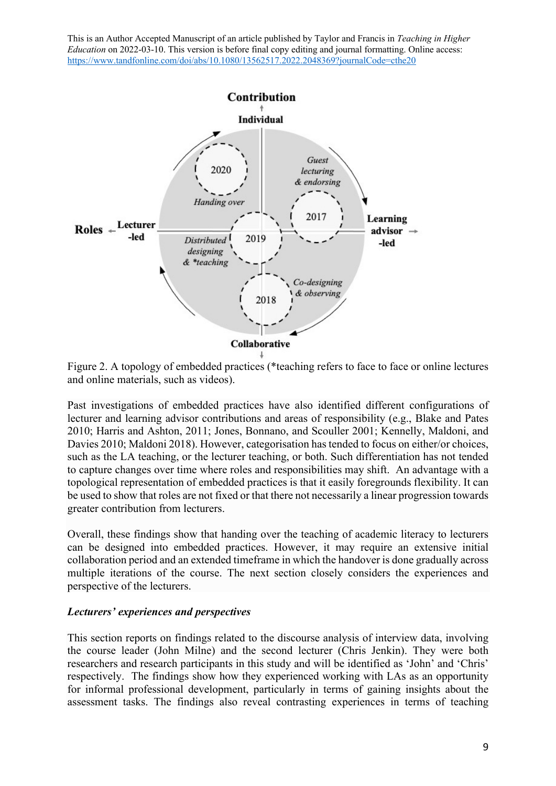

Figure 2. A topology of embedded practices (\*teaching refers to face to face or online lectures and online materials, such as videos).

Past investigations of embedded practices have also identified different configurations of lecturer and learning advisor contributions and areas of responsibility (e.g., Blake and Pates 2010; Harris and Ashton, 2011; Jones, Bonnano, and Scouller 2001; Kennelly, Maldoni, and Davies 2010; Maldoni 2018). However, categorisation has tended to focus on either/or choices, such as the LA teaching, or the lecturer teaching, or both. Such differentiation has not tended to capture changes over time where roles and responsibilities may shift. An advantage with a topological representation of embedded practices is that it easily foregrounds flexibility. It can be used to show that roles are not fixed or that there not necessarily a linear progression towards greater contribution from lecturers.

Overall, these findings show that handing over the teaching of academic literacy to lecturers can be designed into embedded practices. However, it may require an extensive initial collaboration period and an extended timeframe in which the handover is done gradually across multiple iterations of the course. The next section closely considers the experiences and perspective of the lecturers.

#### *Lecturers' experiences and perspectives*

This section reports on findings related to the discourse analysis of interview data, involving the course leader (John Milne) and the second lecturer (Chris Jenkin). They were both researchers and research participants in this study and will be identified as 'John' and 'Chris' respectively. The findings show how they experienced working with LAs as an opportunity for informal professional development, particularly in terms of gaining insights about the assessment tasks. The findings also reveal contrasting experiences in terms of teaching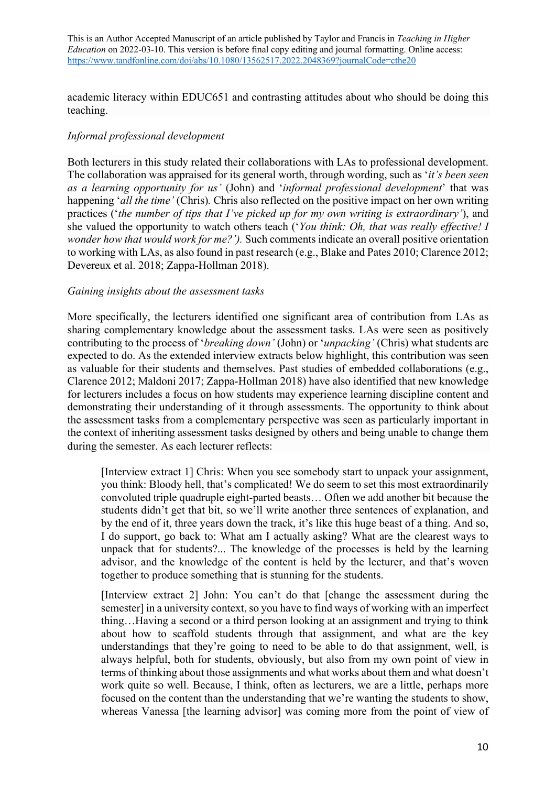academic literacy within EDUC651 and contrasting attitudes about who should be doing this teaching.

# *Informal professional development*

Both lecturers in this study related their collaborations with LAs to professional development. The collaboration was appraised for its general worth, through wording, such as '*it's been seen as a learning opportunity for us'* (John) and '*informal professional development*' that was happening '*all the time'* (Chris)*.* Chris also reflected on the positive impact on her own writing practices ('*the number of tips that I've picked up for my own writing is extraordinary'*), and she valued the opportunity to watch others teach ('*You think: Oh, that was really effective! I wonder how that would work for me?').* Such comments indicate an overall positive orientation to working with LAs, as also found in past research (e.g., Blake and Pates 2010; Clarence 2012; Devereux et al. 2018; Zappa-Hollman 2018).

#### *Gaining insights about the assessment tasks*

More specifically, the lecturers identified one significant area of contribution from LAs as sharing complementary knowledge about the assessment tasks. LAs were seen as positively contributing to the process of '*breaking down'* (John) or '*unpacking'* (Chris) what students are expected to do. As the extended interview extracts below highlight, this contribution was seen as valuable for their students and themselves. Past studies of embedded collaborations (e.g., Clarence 2012; Maldoni 2017; Zappa-Hollman 2018) have also identified that new knowledge for lecturers includes a focus on how students may experience learning discipline content and demonstrating their understanding of it through assessments. The opportunity to think about the assessment tasks from a complementary perspective was seen as particularly important in the context of inheriting assessment tasks designed by others and being unable to change them during the semester. As each lecturer reflects:

[Interview extract 1] Chris: When you see somebody start to unpack your assignment, you think: Bloody hell, that's complicated! We do seem to set this most extraordinarily convoluted triple quadruple eight-parted beasts… Often we add another bit because the students didn't get that bit, so we'll write another three sentences of explanation, and by the end of it, three years down the track, it's like this huge beast of a thing. And so, I do support, go back to: What am I actually asking? What are the clearest ways to unpack that for students?... The knowledge of the processes is held by the learning advisor, and the knowledge of the content is held by the lecturer, and that's woven together to produce something that is stunning for the students.

[Interview extract 2] John: You can't do that [change the assessment during the semester] in a university context, so you have to find ways of working with an imperfect thing…Having a second or a third person looking at an assignment and trying to think about how to scaffold students through that assignment, and what are the key understandings that they're going to need to be able to do that assignment, well, is always helpful, both for students, obviously, but also from my own point of view in terms of thinking about those assignments and what works about them and what doesn't work quite so well. Because, I think, often as lecturers, we are a little, perhaps more focused on the content than the understanding that we're wanting the students to show, whereas Vanessa [the learning advisor] was coming more from the point of view of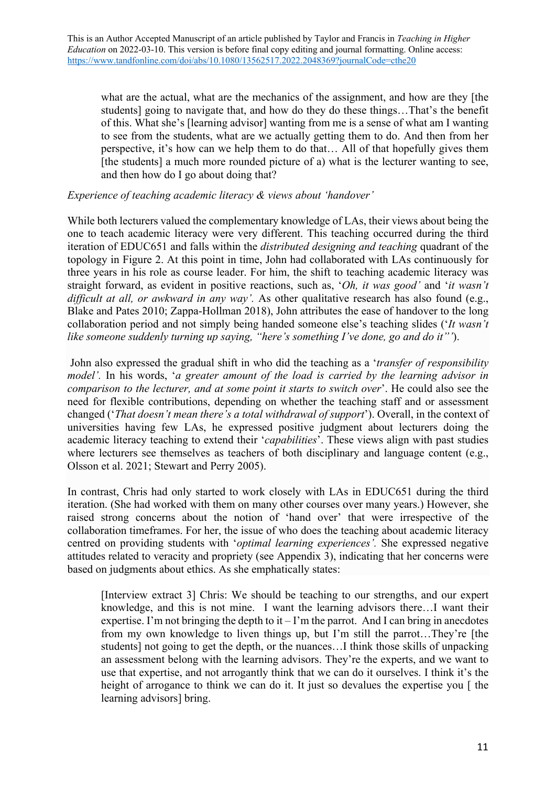what are the actual, what are the mechanics of the assignment, and how are they [the students] going to navigate that, and how do they do these things…That's the benefit of this. What she's [learning advisor] wanting from me is a sense of what am I wanting to see from the students, what are we actually getting them to do. And then from her perspective, it's how can we help them to do that… All of that hopefully gives them [the students] a much more rounded picture of a) what is the lecturer wanting to see, and then how do I go about doing that?

## *Experience of teaching academic literacy & views about 'handover'*

While both lecturers valued the complementary knowledge of LAs, their views about being the one to teach academic literacy were very different. This teaching occurred during the third iteration of EDUC651 and falls within the *distributed designing and teaching* quadrant of the topology in Figure 2. At this point in time, John had collaborated with LAs continuously for three years in his role as course leader. For him, the shift to teaching academic literacy was straight forward, as evident in positive reactions, such as, '*Oh, it was good'* and '*it wasn't difficult at all, or awkward in any way'.* As other qualitative research has also found (e.g., Blake and Pates 2010; Zappa-Hollman 2018), John attributes the ease of handover to the long collaboration period and not simply being handed someone else's teaching slides ('*It wasn't like someone suddenly turning up saying, "here's something I've done, go and do it"'*).

John also expressed the gradual shift in who did the teaching as a '*transfer of responsibility model'.* In his words, '*a greater amount of the load is carried by the learning advisor in comparison to the lecturer, and at some point it starts to switch over*'. He could also see the need for flexible contributions, depending on whether the teaching staff and or assessment changed ('*That doesn't mean there's a total withdrawal of support*'). Overall, in the context of universities having few LAs, he expressed positive judgment about lecturers doing the academic literacy teaching to extend their '*capabilities*'. These views align with past studies where lecturers see themselves as teachers of both disciplinary and language content (e.g., Olsson et al. 2021; Stewart and Perry 2005).

In contrast, Chris had only started to work closely with LAs in EDUC651 during the third iteration. (She had worked with them on many other courses over many years.) However, she raised strong concerns about the notion of 'hand over' that were irrespective of the collaboration timeframes. For her, the issue of who does the teaching about academic literacy centred on providing students with '*optimal learning experiences'.* She expressed negative attitudes related to veracity and propriety (see Appendix 3), indicating that her concerns were based on judgments about ethics. As she emphatically states:

[Interview extract 3] Chris: We should be teaching to our strengths, and our expert knowledge, and this is not mine. I want the learning advisors there…I want their expertise. I'm not bringing the depth to it  $-I$ 'm the parrot. And I can bring in anecdotes from my own knowledge to liven things up, but I'm still the parrot…They're [the students] not going to get the depth, or the nuances…I think those skills of unpacking an assessment belong with the learning advisors. They're the experts, and we want to use that expertise, and not arrogantly think that we can do it ourselves. I think it's the height of arrogance to think we can do it. It just so devalues the expertise you [ the learning advisors] bring.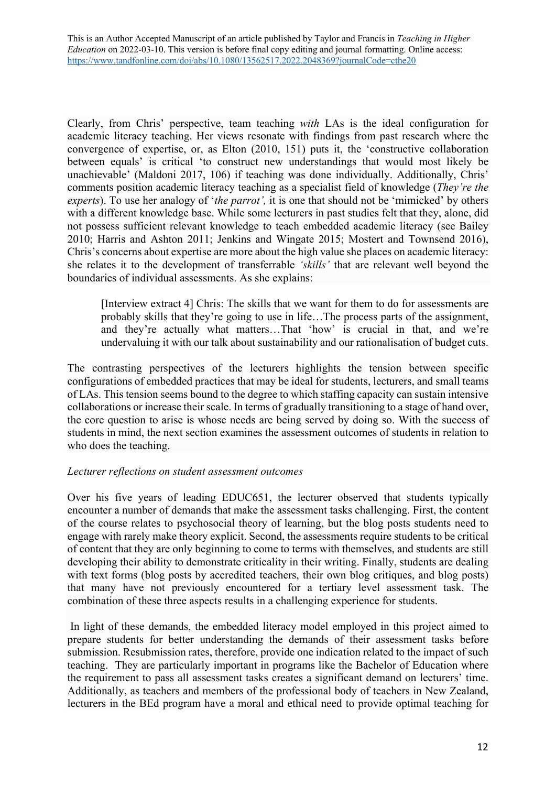Clearly, from Chris' perspective, team teaching *with* LAs is the ideal configuration for academic literacy teaching. Her views resonate with findings from past research where the convergence of expertise, or, as Elton (2010, 151) puts it, the 'constructive collaboration between equals' is critical 'to construct new understandings that would most likely be unachievable' (Maldoni 2017, 106) if teaching was done individually. Additionally, Chris' comments position academic literacy teaching as a specialist field of knowledge (*They're the experts*). To use her analogy of '*the parrot',* it is one that should not be 'mimicked' by others with a different knowledge base. While some lecturers in past studies felt that they, alone, did not possess sufficient relevant knowledge to teach embedded academic literacy (see Bailey 2010; Harris and Ashton 2011; Jenkins and Wingate 2015; Mostert and Townsend 2016), Chris's concerns about expertise are more about the high value she places on academic literacy: she relates it to the development of transferrable *'skills'* that are relevant well beyond the boundaries of individual assessments. As she explains:

[Interview extract 4] Chris: The skills that we want for them to do for assessments are probably skills that they're going to use in life…The process parts of the assignment, and they're actually what matters…That 'how' is crucial in that, and we're undervaluing it with our talk about sustainability and our rationalisation of budget cuts.

The contrasting perspectives of the lecturers highlights the tension between specific configurations of embedded practices that may be ideal for students, lecturers, and small teams of LAs. This tension seems bound to the degree to which staffing capacity can sustain intensive collaborations or increase their scale. In terms of gradually transitioning to a stage of hand over, the core question to arise is whose needs are being served by doing so. With the success of students in mind, the next section examines the assessment outcomes of students in relation to who does the teaching.

# *Lecturer reflections on student assessment outcomes*

Over his five years of leading EDUC651, the lecturer observed that students typically encounter a number of demands that make the assessment tasks challenging. First, the content of the course relates to psychosocial theory of learning, but the blog posts students need to engage with rarely make theory explicit. Second, the assessments require students to be critical of content that they are only beginning to come to terms with themselves, and students are still developing their ability to demonstrate criticality in their writing. Finally, students are dealing with text forms (blog posts by accredited teachers, their own blog critiques, and blog posts) that many have not previously encountered for a tertiary level assessment task. The combination of these three aspects results in a challenging experience for students.

In light of these demands, the embedded literacy model employed in this project aimed to prepare students for better understanding the demands of their assessment tasks before submission. Resubmission rates, therefore, provide one indication related to the impact of such teaching. They are particularly important in programs like the Bachelor of Education where the requirement to pass all assessment tasks creates a significant demand on lecturers' time. Additionally, as teachers and members of the professional body of teachers in New Zealand, lecturers in the BEd program have a moral and ethical need to provide optimal teaching for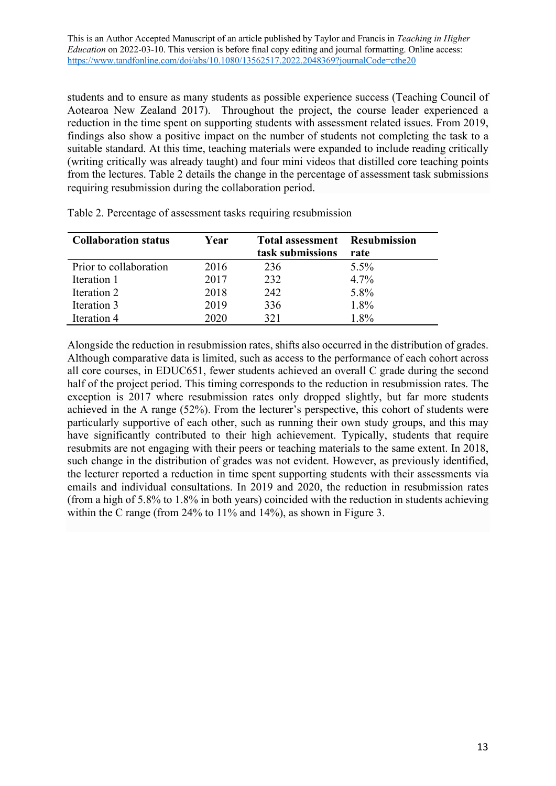students and to ensure as many students as possible experience success (Teaching Council of Aotearoa New Zealand 2017). Throughout the project, the course leader experienced a reduction in the time spent on supporting students with assessment related issues. From 2019, findings also show a positive impact on the number of students not completing the task to a suitable standard. At this time, teaching materials were expanded to include reading critically (writing critically was already taught) and four mini videos that distilled core teaching points from the lectures. Table 2 details the change in the percentage of assessment task submissions requiring resubmission during the collaboration period.

| <b>Collaboration status</b> | Year | <b>Total assessment</b> Resubmission<br>task submissions | rate    |
|-----------------------------|------|----------------------------------------------------------|---------|
| Prior to collaboration      | 2016 | 236                                                      | $5.5\%$ |
| Iteration 1                 | 2017 | 232                                                      | 4.7%    |
| Iteration 2                 | 2018 | 242                                                      | 5.8%    |
| Iteration 3                 | 2019 | 336                                                      | 1.8%    |
| Iteration 4                 | 2020 | 321                                                      | 1.8%    |

Table 2. Percentage of assessment tasks requiring resubmission

Alongside the reduction in resubmission rates, shifts also occurred in the distribution of grades. Although comparative data is limited, such as access to the performance of each cohort across all core courses, in EDUC651, fewer students achieved an overall C grade during the second half of the project period. This timing corresponds to the reduction in resubmission rates. The exception is 2017 where resubmission rates only dropped slightly, but far more students achieved in the A range (52%). From the lecturer's perspective, this cohort of students were particularly supportive of each other, such as running their own study groups, and this may have significantly contributed to their high achievement. Typically, students that require resubmits are not engaging with their peers or teaching materials to the same extent. In 2018, such change in the distribution of grades was not evident. However, as previously identified, the lecturer reported a reduction in time spent supporting students with their assessments via emails and individual consultations. In 2019 and 2020, the reduction in resubmission rates (from a high of 5.8% to 1.8% in both years) coincided with the reduction in students achieving within the C range (from 24% to 11% and 14%), as shown in Figure 3.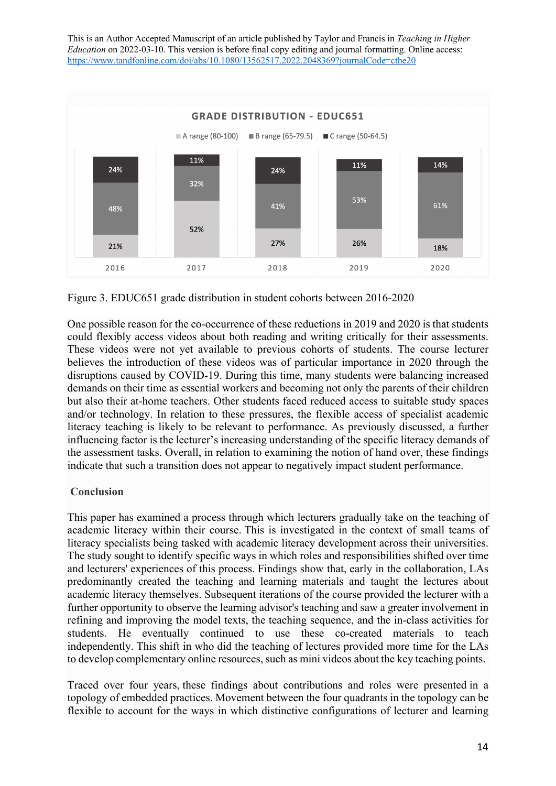

Figure 3. EDUC651 grade distribution in student cohorts between 2016-2020

One possible reason for the co-occurrence of these reductions in 2019 and 2020 is that students could flexibly access videos about both reading and writing critically for their assessments. These videos were not yet available to previous cohorts of students. The course lecturer believes the introduction of these videos was of particular importance in 2020 through the disruptions caused by COVID-19. During this time, many students were balancing increased demands on their time as essential workers and becoming not only the parents of their children but also their at-home teachers. Other students faced reduced access to suitable study spaces and/or technology. In relation to these pressures, the flexible access of specialist academic literacy teaching is likely to be relevant to performance. As previously discussed, a further influencing factor is the lecturer's increasing understanding of the specific literacy demands of the assessment tasks. Overall, in relation to examining the notion of hand over, these findings indicate that such a transition does not appear to negatively impact student performance.

# **Conclusion**

This paper has examined a process through which lecturers gradually take on the teaching of academic literacy within their course. This is investigated in the context of small teams of literacy specialists being tasked with academic literacy development across their universities. The study sought to identify specific ways in which roles and responsibilities shifted over time and lecturers' experiences of this process. Findings show that, early in the collaboration, LAs predominantly created the teaching and learning materials and taught the lectures about academic literacy themselves. Subsequent iterations of the course provided the lecturer with a further opportunity to observe the learning advisor's teaching and saw a greater involvement in refining and improving the model texts, the teaching sequence, and the in-class activities for students. He eventually continued to use these co-created materials to teach independently. This shift in who did the teaching of lectures provided more time for the LAs to develop complementary online resources, such as mini videos about the key teaching points.

Traced over four years, these findings about contributions and roles were presented in a topology of embedded practices. Movement between the four quadrants in the topology can be flexible to account for the ways in which distinctive configurations of lecturer and learning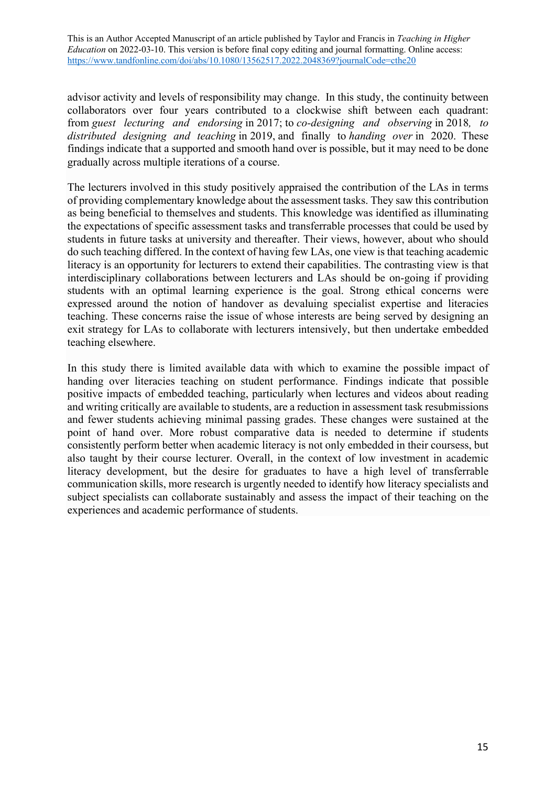advisor activity and levels of responsibility may change. In this study, the continuity between collaborators over four years contributed to a clockwise shift between each quadrant: from *guest lecturing and endorsing* in 2017; to *co-designing and observing* in 2018*, to distributed designing and teaching* in 2019, and finally to *handing over* in 2020. These findings indicate that a supported and smooth hand over is possible, but it may need to be done gradually across multiple iterations of a course.

The lecturers involved in this study positively appraised the contribution of the LAs in terms of providing complementary knowledge about the assessment tasks. They saw this contribution as being beneficial to themselves and students. This knowledge was identified as illuminating the expectations of specific assessment tasks and transferrable processes that could be used by students in future tasks at university and thereafter. Their views, however, about who should do such teaching differed. In the context of having few LAs, one view is that teaching academic literacy is an opportunity for lecturers to extend their capabilities. The contrasting view is that interdisciplinary collaborations between lecturers and LAs should be on-going if providing students with an optimal learning experience is the goal. Strong ethical concerns were expressed around the notion of handover as devaluing specialist expertise and literacies teaching. These concerns raise the issue of whose interests are being served by designing an exit strategy for LAs to collaborate with lecturers intensively, but then undertake embedded teaching elsewhere.

In this study there is limited available data with which to examine the possible impact of handing over literacies teaching on student performance. Findings indicate that possible positive impacts of embedded teaching, particularly when lectures and videos about reading and writing critically are available to students, are a reduction in assessment task resubmissions and fewer students achieving minimal passing grades. These changes were sustained at the point of hand over. More robust comparative data is needed to determine if students consistently perform better when academic literacy is not only embedded in their coursess, but also taught by their course lecturer. Overall, in the context of low investment in academic literacy development, but the desire for graduates to have a high level of transferrable communication skills, more research is urgently needed to identify how literacy specialists and subject specialists can collaborate sustainably and assess the impact of their teaching on the experiences and academic performance of students.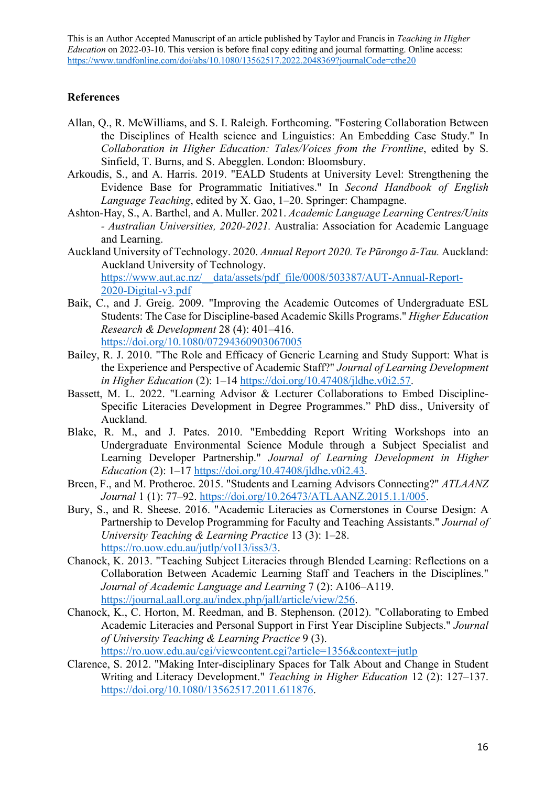## **References**

- Allan, Q., R. McWilliams, and S. I. Raleigh. Forthcoming. "Fostering Collaboration Between the Disciplines of Health science and Linguistics: An Embedding Case Study." In *Collaboration in Higher Education: Tales/Voices from the Frontline*, edited by S. Sinfield, T. Burns, and S. Abegglen. London: Bloomsbury.
- Arkoudis, S., and A. Harris. 2019. "EALD Students at University Level: Strengthening the Evidence Base for Programmatic Initiatives." In *Second Handbook of English Language Teaching*, edited by X. Gao, 1–20. Springer: Champagne.
- Ashton-Hay, S., A. Barthel, and A. Muller. 2021. *Academic Language Learning Centres/Units - Australian Universities, 2020-2021.* Australia: Association for Academic Language and Learning.
- Auckland University of Technology. 2020. *Annual Report 2020. Te Pūrongo ā-Tau.* Auckland: Auckland University of Technology. https://www.aut.ac.nz/\_\_data/assets/pdf\_file/0008/503387/AUT-Annual-Report-2020-Digital-v3.pdf
- Baik, C., and J. Greig. 2009. "Improving the Academic Outcomes of Undergraduate ESL Students: The Case for Discipline-based Academic Skills Programs." *Higher Education Research & Development* 28 (4): 401–416. https://doi.org/10.1080/07294360903067005
- Bailey, R. J. 2010. "The Role and Efficacy of Generic Learning and Study Support: What is the Experience and Perspective of Academic Staff?" *Journal of Learning Development in Higher Education* (2): 1–14 https://doi.org/10.47408/jldhe.v0i2.57.
- Bassett, M. L. 2022. "Learning Advisor & Lecturer Collaborations to Embed Discipline-Specific Literacies Development in Degree Programmes." PhD diss., University of Auckland.
- Blake, R. M., and J. Pates. 2010. "Embedding Report Writing Workshops into an Undergraduate Environmental Science Module through a Subject Specialist and Learning Developer Partnership." *Journal of Learning Development in Higher Education* (2): 1–17 https://doi.org/10.47408/jldhe.v0i2.43.
- Breen, F., and M. Protheroe. 2015. "Students and Learning Advisors Connecting?" *ATLAANZ Journal* 1 (1): 77–92. https://doi.org/10.26473/ATLAANZ.2015.1.1/005.
- Bury, S., and R. Sheese. 2016. "Academic Literacies as Cornerstones in Course Design: A Partnership to Develop Programming for Faculty and Teaching Assistants." *Journal of University Teaching & Learning Practice* 13 (3): 1–28. https://ro.uow.edu.au/jutlp/vol13/iss3/3.
- Chanock, K. 2013. "Teaching Subject Literacies through Blended Learning: Reflections on a Collaboration Between Academic Learning Staff and Teachers in the Disciplines." *Journal of Academic Language and Learning* 7 (2): A106–A119. https://journal.aall.org.au/index.php/jall/article/view/256.
- Chanock, K., C. Horton, M. Reedman, and B. Stephenson. (2012). "Collaborating to Embed Academic Literacies and Personal Support in First Year Discipline Subjects." *Journal of University Teaching & Learning Practice* 9 (3). https://ro.uow.edu.au/cgi/viewcontent.cgi?article=1356&context=jutlp
- Clarence, S. 2012. "Making Inter-disciplinary Spaces for Talk About and Change in Student Writing and Literacy Development." *Teaching in Higher Education* 12 (2): 127–137. https://doi.org/10.1080/13562517.2011.611876.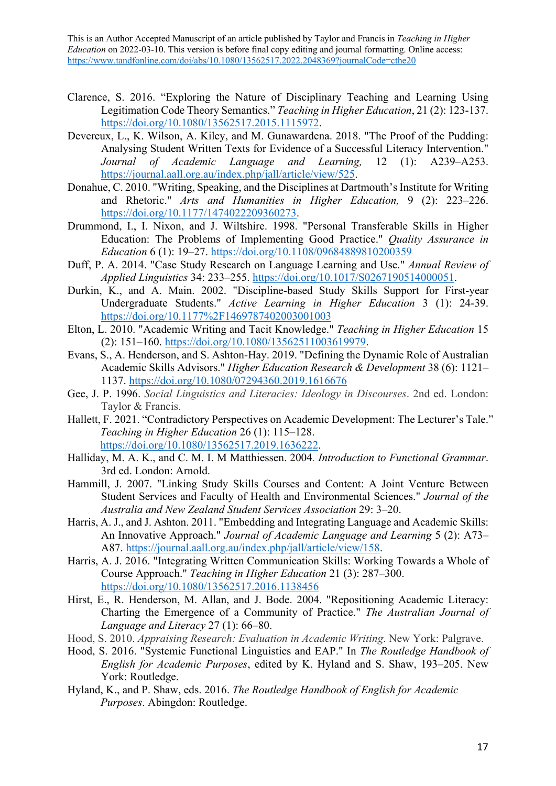- Clarence, S. 2016. "Exploring the Nature of Disciplinary Teaching and Learning Using Legitimation Code Theory Semantics." *Teaching in Higher Education*, 21 (2): 123-137. https://doi.org/10.1080/13562517.2015.1115972.
- Devereux, L., K. Wilson, A. Kiley, and M. Gunawardena. 2018. "The Proof of the Pudding: Analysing Student Written Texts for Evidence of a Successful Literacy Intervention." *Journal of Academic Language and Learning,* 12 (1): A239–A253. https://journal.aall.org.au/index.php/jall/article/view/525.
- Donahue, C. 2010. "Writing, Speaking, and the Disciplines at Dartmouth's Institute for Writing and Rhetoric." *Arts and Humanities in Higher Education,* 9 (2): 223–226. https://doi.org/10.1177/1474022209360273.
- Drummond, I., I. Nixon, and J. Wiltshire. 1998. "Personal Transferable Skills in Higher Education: The Problems of Implementing Good Practice." *Quality Assurance in Education* 6 (1): 19–27. https://doi.org/10.1108/09684889810200359
- Duff, P. A. 2014. "Case Study Research on Language Learning and Use." *Annual Review of Applied Linguistics* 34: 233–255. https://doi.org/10.1017/S0267190514000051.
- Durkin, K., and A. Main. 2002. "Discipline-based Study Skills Support for First-year Undergraduate Students." *Active Learning in Higher Education* 3 (1): 24-39. https://doi.org/10.1177%2F1469787402003001003
- Elton, L. 2010. "Academic Writing and Tacit Knowledge." *Teaching in Higher Education* 15 (2): 151–160. https://doi.org/10.1080/13562511003619979.
- Evans, S., A. Henderson, and S. Ashton-Hay. 2019. "Defining the Dynamic Role of Australian Academic Skills Advisors." *Higher Education Research & Development* 38 (6): 1121– 1137. https://doi.org/10.1080/07294360.2019.1616676
- Gee, J. P. 1996. *Social Linguistics and Literacies: Ideology in Discourses*. 2nd ed. London: Taylor & Francis.
- Hallett, F. 2021. "Contradictory Perspectives on Academic Development: The Lecturer's Tale." *Teaching in Higher Education* 26 (1): 115–128. https://doi.org/10.1080/13562517.2019.1636222.
- Halliday, M. A. K., and C. M. I. M Matthiessen. 2004*. Introduction to Functional Grammar*. 3rd ed. London: Arnold.
- Hammill, J. 2007. "Linking Study Skills Courses and Content: A Joint Venture Between Student Services and Faculty of Health and Environmental Sciences." *Journal of the Australia and New Zealand Student Services Association* 29: 3–20.
- Harris, A. J., and J. Ashton. 2011. "Embedding and Integrating Language and Academic Skills: An Innovative Approach." *Journal of Academic Language and Learning* 5 (2): A73– A87. https://journal.aall.org.au/index.php/jall/article/view/158.
- Harris, A. J. 2016. "Integrating Written Communication Skills: Working Towards a Whole of Course Approach." *Teaching in Higher Education* 21 (3): 287–300. https://doi.org/10.1080/13562517.2016.1138456
- Hirst, E., R. Henderson, M. Allan, and J. Bode. 2004. "Repositioning Academic Literacy: Charting the Emergence of a Community of Practice." *The Australian Journal of Language and Literacy* 27 (1): 66–80.
- Hood, S. 2010. *Appraising Research: Evaluation in Academic Writing*. New York: Palgrave.
- Hood, S. 2016. "Systemic Functional Linguistics and EAP." In *The Routledge Handbook of English for Academic Purposes*, edited by K. Hyland and S. Shaw, 193–205. New York: Routledge.
- Hyland, K., and P. Shaw, eds. 2016. *The Routledge Handbook of English for Academic Purposes*. Abingdon: Routledge.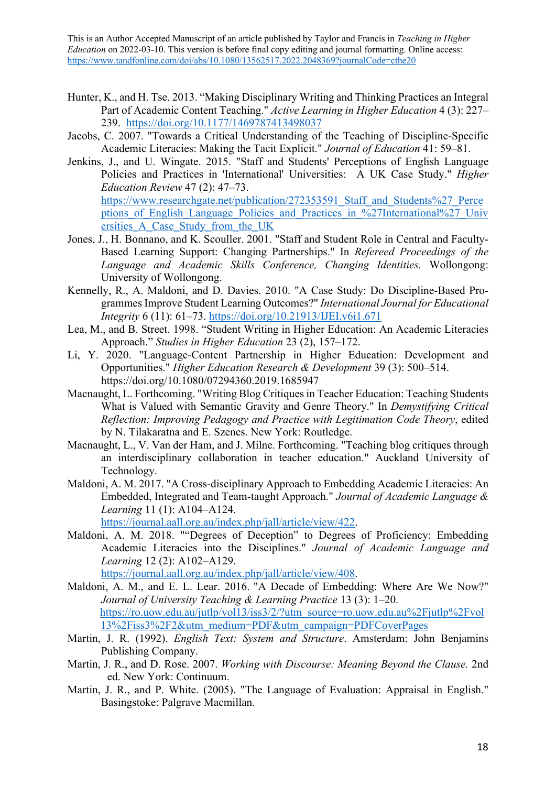- Hunter, K., and H. Tse. 2013. "Making Disciplinary Writing and Thinking Practices an Integral Part of Academic Content Teaching." *Active Learning in Higher Education* 4 (3): 227– 239. https://doi.org/10.1177/1469787413498037
- Jacobs, C. 2007. "Towards a Critical Understanding of the Teaching of Discipline-Specific Academic Literacies: Making the Tacit Explicit." *Journal of Education* 41: 59–81.
- Jenkins, J., and U. Wingate. 2015. "Staff and Students' Perceptions of English Language Policies and Practices in 'International' Universities: A UK Case Study." *Higher Education Review* 47 (2): 47–73. https://www.researchgate.net/publication/272353591\_Staff\_and\_Students%27\_Perce ptions of English Language Policies and Practices in %27International%27 Univ ersities\_A\_Case\_Study\_from\_the\_UK
- Jones, J., H. Bonnano, and K. Scouller. 2001. "Staff and Student Role in Central and Faculty-Based Learning Support: Changing Partnerships." In *Refereed Proceedings of the Language and Academic Skills Conference, Changing Identities.* Wollongong: University of Wollongong.
- Kennelly, R., A. Maldoni, and D. Davies. 2010. "A Case Study: Do Discipline-Based Programmes Improve Student Learning Outcomes?" *International Journal for Educational Integrity* 6 (11): 61–73. https://doi.org/10.21913/IJEI.v6i1.671
- Lea, M., and B. Street. 1998. "Student Writing in Higher Education: An Academic Literacies Approach." *Studies in Higher Education* 23 (2), 157–172.
- Li, Y. 2020. "Language-Content Partnership in Higher Education: Development and Opportunities." *Higher Education Research & Development* 39 (3): 500–514. https://doi.org/10.1080/07294360.2019.1685947
- Macnaught, L. Forthcoming. "Writing Blog Critiques in Teacher Education: Teaching Students What is Valued with Semantic Gravity and Genre Theory." In *Demystifying Critical Reflection: Improving Pedagogy and Practice with Legitimation Code Theory*, edited by N. Tilakaratna and E. Szenes. New York: Routledge.
- Macnaught, L., V. Van der Ham, and J. Milne. Forthcoming. "Teaching blog critiques through an interdisciplinary collaboration in teacher education." Auckland University of Technology.
- Maldoni, A. M. 2017. "A Cross-disciplinary Approach to Embedding Academic Literacies: An Embedded, Integrated and Team-taught Approach." *Journal of Academic Language & Learning* 11 (1): A104–A124.

https://journal.aall.org.au/index.php/jall/article/view/422.

Maldoni, A. M. 2018. ""Degrees of Deception" to Degrees of Proficiency: Embedding Academic Literacies into the Disciplines." *Journal of Academic Language and Learning* 12 (2): A102–A129.

https://journal.aall.org.au/index.php/jall/article/view/408.

- Maldoni, A. M., and E. L. Lear. 2016. "A Decade of Embedding: Where Are We Now?" *Journal of University Teaching & Learning Practice* 13 (3): 1–20. https://ro.uow.edu.au/jutlp/vol13/iss3/2/?utm\_source=ro.uow.edu.au%2Fjutlp%2Fvol 13%2Fiss3%2F2&utm\_medium=PDF&utm\_campaign=PDFCoverPages
- Martin, J. R. (1992). *English Text: System and Structure*. Amsterdam: John Benjamins Publishing Company.
- Martin, J. R., and D. Rose. 2007. *Working with Discourse: Meaning Beyond the Clause.* 2nd ed. New York: Continuum.
- Martin, J. R., and P. White. (2005). "The Language of Evaluation: Appraisal in English." Basingstoke: Palgrave Macmillan.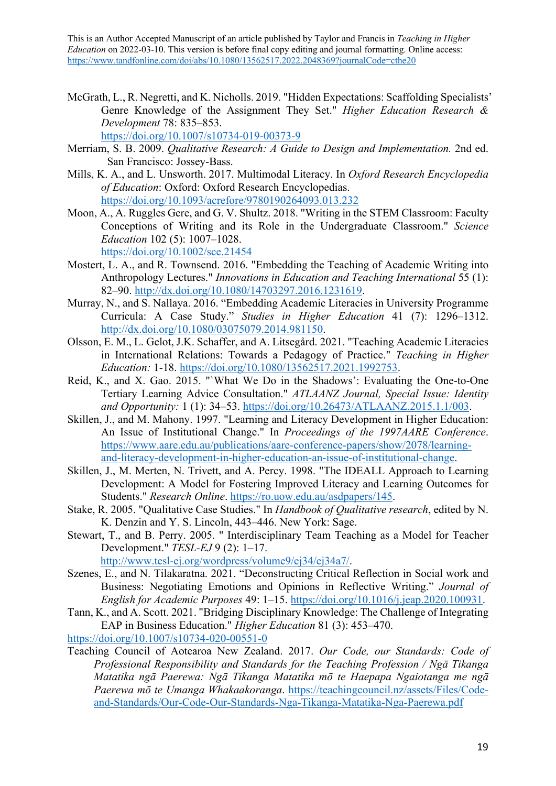- McGrath, L., R. Negretti, and K. Nicholls. 2019. "Hidden Expectations: Scaffolding Specialists' Genre Knowledge of the Assignment They Set." *Higher Education Research & Development* 78: 835–853. https://doi.org/10.1007/s10734-019-00373-9
- Merriam, S. B. 2009. *Qualitative Research: A Guide to Design and Implementation.* 2nd ed. San Francisco: Jossey-Bass.
- Mills, K. A., and L. Unsworth. 2017. Multimodal Literacy. In *Oxford Research Encyclopedia of Education*: Oxford: Oxford Research Encyclopedias. https://doi.org/10.1093/acrefore/9780190264093.013.232
- Moon, A., A. Ruggles Gere, and G. V. Shultz. 2018. "Writing in the STEM Classroom: Faculty Conceptions of Writing and its Role in the Undergraduate Classroom." *Science Education* 102 (5): 1007–1028. https://doi.org/10.1002/sce.21454
- Mostert, L. A., and R. Townsend. 2016. "Embedding the Teaching of Academic Writing into Anthropology Lectures." *Innovations in Education and Teaching International* 55 (1): 82–90. http://dx.doi.org/10.1080/14703297.2016.1231619.
- Murray, N., and S. Nallaya. 2016. "Embedding Academic Literacies in University Programme Curricula: A Case Study." *Studies in Higher Education* 41 (7): 1296–1312. http://dx.doi.org/10.1080/03075079.2014.981150.
- Olsson, E. M., L. Gelot, J.K. Schaffer, and A. Litsegård. 2021. "Teaching Academic Literacies in International Relations: Towards a Pedagogy of Practice." *Teaching in Higher Education:* 1-18. https://doi.org/10.1080/13562517.2021.1992753.
- Reid, K., and X. Gao. 2015. "`What We Do in the Shadows': Evaluating the One-to-One Tertiary Learning Advice Consultation." *ATLAANZ Journal, Special Issue: Identity and Opportunity:* 1 (1): 34–53. https://doi.org/10.26473/ATLAANZ.2015.1.1/003.
- Skillen, J., and M. Mahony. 1997. "Learning and Literacy Development in Higher Education: An Issue of Institutional Change." In *Proceedings of the 1997AARE Conference*. https://www.aare.edu.au/publications/aare-conference-papers/show/2078/learningand-literacy-development-in-higher-education-an-issue-of-institutional-change.
- Skillen, J., M. Merten, N. Trivett, and A. Percy. 1998. "The IDEALL Approach to Learning Development: A Model for Fostering Improved Literacy and Learning Outcomes for Students." *Research Online*. https://ro.uow.edu.au/asdpapers/145.
- Stake, R. 2005. "Qualitative Case Studies." In *Handbook of Qualitative research*, edited by N. K. Denzin and Y. S. Lincoln, 443–446. New York: Sage.
- Stewart, T., and B. Perry. 2005. " Interdisciplinary Team Teaching as a Model for Teacher Development." *TESL-EJ* 9 (2): 1–17.
	- http://www.tesl-ej.org/wordpress/volume9/ej34/ej34a7/.
- Szenes, E., and N. Tilakaratna. 2021. "Deconstructing Critical Reflection in Social work and Business: Negotiating Emotions and Opinions in Reflective Writing." *Journal of English for Academic Purposes* 49: 1–15. https://doi.org/10.1016/j.jeap.2020.100931.
- Tann, K., and A. Scott. 2021. "Bridging Disciplinary Knowledge: The Challenge of Integrating EAP in Business Education." *Higher Education* 81 (3): 453–470.

https://doi.org/10.1007/s10734-020-00551-0

Teaching Council of Aotearoa New Zealand. 2017. *Our Code, our Standards: Code of Professional Responsibility and Standards for the Teaching Profession / Ngā Tikanga Matatika ngā Paerewa: Ngā Tikanga Matatika mō te Haepapa Ngaiotanga me ngā Paerewa mō te Umanga Whakaakoranga*. https://teachingcouncil.nz/assets/Files/Codeand-Standards/Our-Code-Our-Standards-Nga-Tikanga-Matatika-Nga-Paerewa.pdf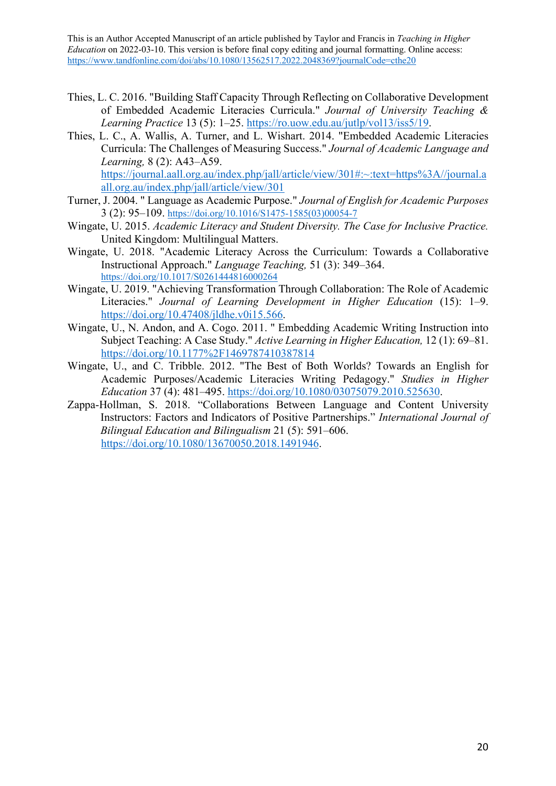- Thies, L. C. 2016. "Building Staff Capacity Through Reflecting on Collaborative Development of Embedded Academic Literacies Curricula." *Journal of University Teaching & Learning Practice* 13 (5): 1–25. https://ro.uow.edu.au/jutlp/vol13/iss5/19.
- Thies, L. C., A. Wallis, A. Turner, and L. Wishart. 2014. "Embedded Academic Literacies Curricula: The Challenges of Measuring Success." *Journal of Academic Language and Learning,* 8 (2): A43–A59. https://journal.aall.org.au/index.php/jall/article/view/301#:~:text=https%3A//journal.a all.org.au/index.php/jall/article/view/301
- Turner, J. 2004. " Language as Academic Purpose." *Journal of English for Academic Purposes* 3 (2): 95–109. https://doi.org/10.1016/S1475-1585(03)00054-7
- Wingate, U. 2015. *Academic Literacy and Student Diversity. The Case for Inclusive Practice.*  United Kingdom: Multilingual Matters.
- Wingate, U. 2018. "Academic Literacy Across the Curriculum: Towards a Collaborative Instructional Approach." *Language Teaching,* 51 (3): 349–364. https://doi.org/10.1017/S0261444816000264
- Wingate, U. 2019. "Achieving Transformation Through Collaboration: The Role of Academic Literacies." *Journal of Learning Development in Higher Education* (15): 1–9. https://doi.org/10.47408/jldhe.v0i15.566.
- Wingate, U., N. Andon, and A. Cogo. 2011. " Embedding Academic Writing Instruction into Subject Teaching: A Case Study." *Active Learning in Higher Education,* 12 (1): 69–81. https://doi.org/10.1177%2F1469787410387814
- Wingate, U., and C. Tribble. 2012. "The Best of Both Worlds? Towards an English for Academic Purposes/Academic Literacies Writing Pedagogy." *Studies in Higher Education* 37 (4): 481–495. https://doi.org/10.1080/03075079.2010.525630.
- Zappa-Hollman, S. 2018. "Collaborations Between Language and Content University Instructors: Factors and Indicators of Positive Partnerships." *International Journal of Bilingual Education and Bilingualism* 21 (5): 591–606. https://doi.org/10.1080/13670050.2018.1491946.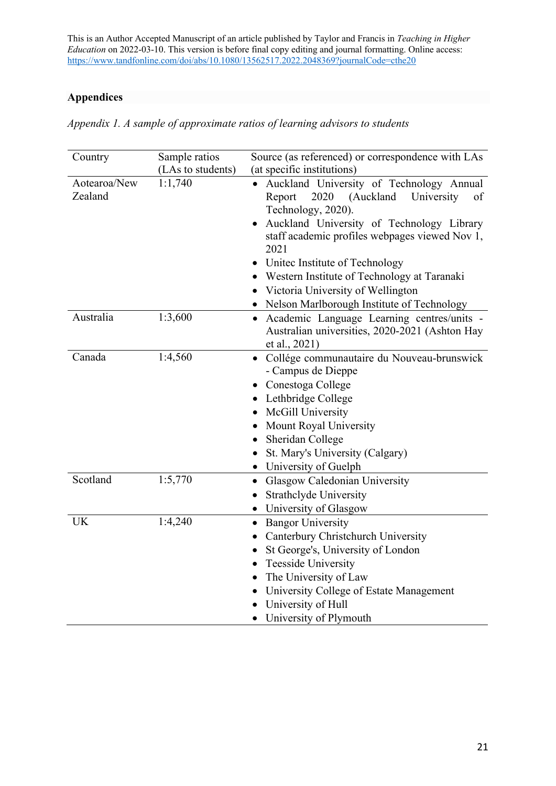# **Appendices**

|  |  | Appendix 1. A sample of approximate ratios of learning advisors to students |  |  |  |
|--|--|-----------------------------------------------------------------------------|--|--|--|
|  |  |                                                                             |  |  |  |

| Country                 | Sample ratios     | Source (as referenced) or correspondence with LAs                                                                                                                                                                                                                                                                                                                                                               |  |  |
|-------------------------|-------------------|-----------------------------------------------------------------------------------------------------------------------------------------------------------------------------------------------------------------------------------------------------------------------------------------------------------------------------------------------------------------------------------------------------------------|--|--|
|                         | (LAs to students) | (at specific institutions)                                                                                                                                                                                                                                                                                                                                                                                      |  |  |
| Aotearoa/New<br>Zealand | 1:1,740           | · Auckland University of Technology Annual<br>2020<br>(Auckland<br>University<br>Report<br><sub>of</sub><br>Technology, 2020).<br>Auckland University of Technology Library<br>staff academic profiles webpages viewed Nov 1,<br>2021<br>United Institute of Technology<br>• Western Institute of Technology at Taranaki<br>• Victoria University of Wellington<br>• Nelson Marlborough Institute of Technology |  |  |
| Australia               | 1:3,600           | · Academic Language Learning centres/units -<br>Australian universities, 2020-2021 (Ashton Hay<br>et al., 2021)                                                                                                                                                                                                                                                                                                 |  |  |
| Canada                  | 1:4,560           | Collége communautaire du Nouveau-brunswick<br>- Campus de Dieppe<br>Conestoga College<br>Lethbridge College<br>McGill University<br>$\bullet$<br><b>Mount Royal University</b><br>$\bullet$<br>• Sheridan College<br>St. Mary's University (Calgary)<br>• University of Guelph                                                                                                                                  |  |  |
| Scotland                | 1:5,770           | Glasgow Caledonian University<br>$\bullet$<br>Strathclyde University<br>$\bullet$<br>• University of Glasgow                                                                                                                                                                                                                                                                                                    |  |  |
| <b>UK</b>               | 1:4,240           | <b>Bangor University</b><br>$\bullet$<br>Canterbury Christchurch University<br>St George's, University of London<br><b>Teesside University</b><br>$\bullet$<br>The University of Law<br>University College of Estate Management<br>$\bullet$<br>• University of Hull<br>University of Plymouth                                                                                                                  |  |  |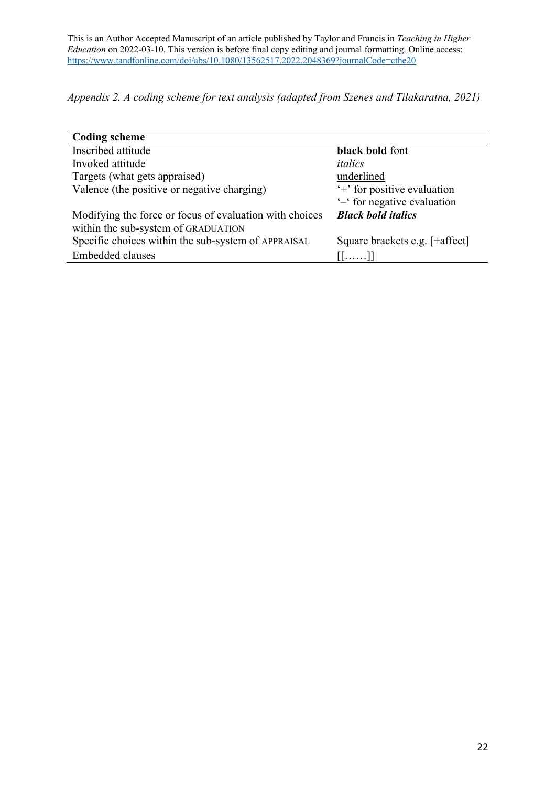*Appendix 2. A coding scheme for text analysis (adapted from Szenes and Tilakaratna, 2021)*

| <b>Coding scheme</b>                                    |                                |
|---------------------------------------------------------|--------------------------------|
| Inscribed attitude                                      | black bold font                |
| Invoked attitude                                        | italics                        |
| Targets (what gets appraised)                           | underlined                     |
| Valence (the positive or negative charging)             | '+' for positive evaluation    |
|                                                         | '-' for negative evaluation    |
| Modifying the force or focus of evaluation with choices | <b>Black bold italics</b>      |
| within the sub-system of GRADUATION                     |                                |
| Specific choices within the sub-system of APPRAISAL     | Square brackets e.g. [+affect] |
| Embedded clauses                                        | [[]]                           |